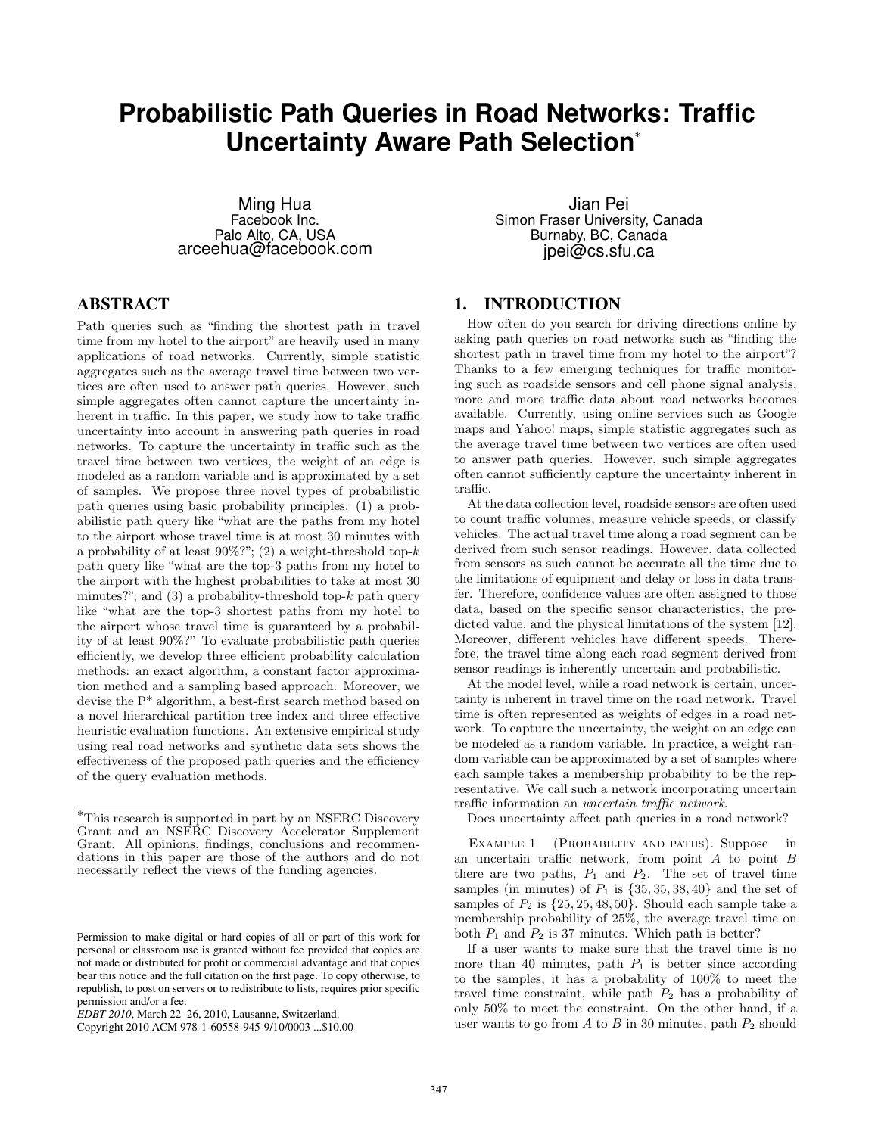# **Probabilistic Path Queries in Road Networks: Traffic Uncertainty Aware Path Selection**<sup>∗</sup>

Ming Hua Facebook Inc. Palo Alto, CA, USA arceehua@facebook.com

# ABSTRACT

Path queries such as "finding the shortest path in travel time from my hotel to the airport" are heavily used in many applications of road networks. Currently, simple statistic aggregates such as the average travel time between two vertices are often used to answer path queries. However, such simple aggregates often cannot capture the uncertainty inherent in traffic. In this paper, we study how to take traffic uncertainty into account in answering path queries in road networks. To capture the uncertainty in traffic such as the travel time between two vertices, the weight of an edge is modeled as a random variable and is approximated by a set of samples. We propose three novel types of probabilistic path queries using basic probability principles: (1) a probabilistic path query like "what are the paths from my hotel to the airport whose travel time is at most 30 minutes with a probability of at least  $90\%$ ?"; (2) a weight-threshold top- $k$ path query like "what are the top-3 paths from my hotel to the airport with the highest probabilities to take at most 30 minutes?"; and  $(3)$  a probability-threshold top- $k$  path query like "what are the top-3 shortest paths from my hotel to the airport whose travel time is guaranteed by a probability of at least 90%?" To evaluate probabilistic path queries efficiently, we develop three efficient probability calculation methods: an exact algorithm, a constant factor approximation method and a sampling based approach. Moreover, we devise the P\* algorithm, a best-first search method based on a novel hierarchical partition tree index and three effective heuristic evaluation functions. An extensive empirical study using real road networks and synthetic data sets shows the effectiveness of the proposed path queries and the efficiency of the query evaluation methods.

Jian Pei Simon Fraser University, Canada Burnaby, BC, Canada jpei@cs.sfu.ca

# 1. INTRODUCTION

How often do you search for driving directions online by asking path queries on road networks such as "finding the shortest path in travel time from my hotel to the airport"? Thanks to a few emerging techniques for traffic monitoring such as roadside sensors and cell phone signal analysis, more and more traffic data about road networks becomes available. Currently, using online services such as Google maps and Yahoo! maps, simple statistic aggregates such as the average travel time between two vertices are often used to answer path queries. However, such simple aggregates often cannot sufficiently capture the uncertainty inherent in traffic.

At the data collection level, roadside sensors are often used to count traffic volumes, measure vehicle speeds, or classify vehicles. The actual travel time along a road segment can be derived from such sensor readings. However, data collected from sensors as such cannot be accurate all the time due to the limitations of equipment and delay or loss in data transfer. Therefore, confidence values are often assigned to those data, based on the specific sensor characteristics, the predicted value, and the physical limitations of the system [12]. Moreover, different vehicles have different speeds. Therefore, the travel time along each road segment derived from sensor readings is inherently uncertain and probabilistic.

At the model level, while a road network is certain, uncertainty is inherent in travel time on the road network. Travel time is often represented as weights of edges in a road network. To capture the uncertainty, the weight on an edge can be modeled as a random variable. In practice, a weight random variable can be approximated by a set of samples where each sample takes a membership probability to be the representative. We call such a network incorporating uncertain traffic information an uncertain traffic network.

Does uncertainty affect path queries in a road network?

EXAMPLE 1 (PROBABILITY AND PATHS). Suppose in an uncertain traffic network, from point  $A$  to point  $B$ there are two paths,  $P_1$  and  $P_2$ . The set of travel time samples (in minutes) of  $P_1$  is  $\{35, 35, 38, 40\}$  and the set of samples of  $P_2$  is  $\{25, 25, 48, 50\}$ . Should each sample take a membership probability of 25%, the average travel time on both  $P_1$  and  $P_2$  is 37 minutes. Which path is better?

If a user wants to make sure that the travel time is no more than 40 minutes, path  $P_1$  is better since according to the samples, it has a probability of 100% to meet the travel time constraint, while path  $P_2$  has a probability of only 50% to meet the constraint. On the other hand, if a user wants to go from  $A$  to  $B$  in 30 minutes, path  $P_2$  should

<sup>∗</sup>This research is supported in part by an NSERC Discovery Grant and an NSERC Discovery Accelerator Supplement Grant. All opinions, findings, conclusions and recommendations in this paper are those of the authors and do not necessarily reflect the views of the funding agencies.

Permission to make digital or hard copies of all or part of this work for personal or classroom use is granted without fee provided that copies are not made or distributed for profit or commercial advantage and that copies bear this notice and the full citation on the first page. To copy otherwise, to republish, to post on servers or to redistribute to lists, requires prior specific permission and/or a fee.

*EDBT 2010*, March 22–26, 2010, Lausanne, Switzerland.

Copyright 2010 ACM 978-1-60558-945-9/10/0003 ...\$10.00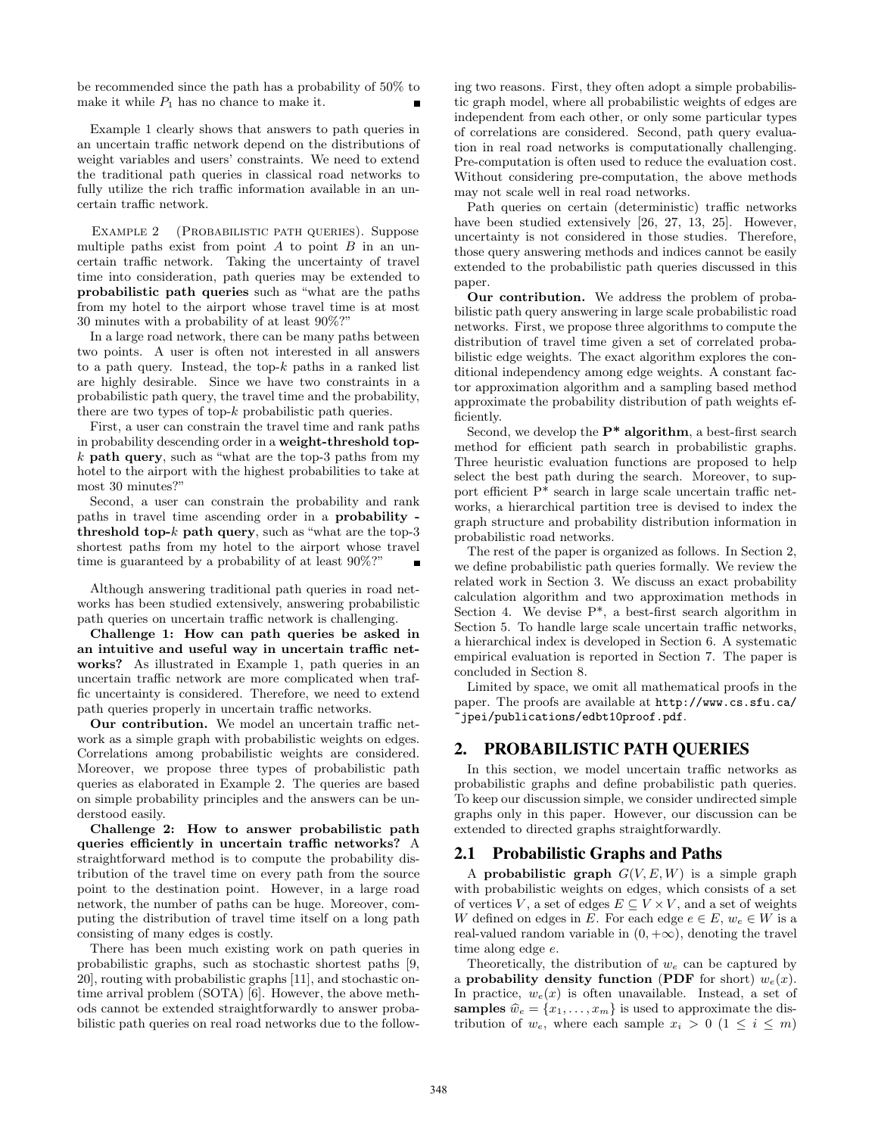be recommended since the path has a probability of 50% to make it while  $P_1$  has no chance to make it.

Example 1 clearly shows that answers to path queries in an uncertain traffic network depend on the distributions of weight variables and users' constraints. We need to extend the traditional path queries in classical road networks to fully utilize the rich traffic information available in an uncertain traffic network.

EXAMPLE 2 (PROBABILISTIC PATH QUERIES). Suppose multiple paths exist from point  $A$  to point  $B$  in an uncertain traffic network. Taking the uncertainty of travel time into consideration, path queries may be extended to probabilistic path queries such as "what are the paths from my hotel to the airport whose travel time is at most 30 minutes with a probability of at least 90%?"

In a large road network, there can be many paths between two points. A user is often not interested in all answers to a path query. Instead, the top- $k$  paths in a ranked list are highly desirable. Since we have two constraints in a probabilistic path query, the travel time and the probability, there are two types of top- $k$  probabilistic path queries.

First, a user can constrain the travel time and rank paths in probability descending order in a weight-threshold top $k$  path query, such as "what are the top-3 paths from my hotel to the airport with the highest probabilities to take at most 30 minutes?"

Second, a user can constrain the probability and rank paths in travel time ascending order in a probability threshold top- $k$  path query, such as "what are the top- $3$ shortest paths from my hotel to the airport whose travel time is guaranteed by a probability of at least 90%?"

Although answering traditional path queries in road networks has been studied extensively, answering probabilistic path queries on uncertain traffic network is challenging.

Challenge 1: How can path queries be asked in an intuitive and useful way in uncertain traffic networks? As illustrated in Example 1, path queries in an uncertain traffic network are more complicated when traffic uncertainty is considered. Therefore, we need to extend path queries properly in uncertain traffic networks.

Our contribution. We model an uncertain traffic network as a simple graph with probabilistic weights on edges. Correlations among probabilistic weights are considered. Moreover, we propose three types of probabilistic path queries as elaborated in Example 2. The queries are based on simple probability principles and the answers can be understood easily.

Challenge 2: How to answer probabilistic path queries efficiently in uncertain traffic networks? A straightforward method is to compute the probability distribution of the travel time on every path from the source point to the destination point. However, in a large road network, the number of paths can be huge. Moreover, computing the distribution of travel time itself on a long path consisting of many edges is costly.

There has been much existing work on path queries in probabilistic graphs, such as stochastic shortest paths [9, 20], routing with probabilistic graphs [11], and stochastic ontime arrival problem (SOTA) [6]. However, the above methods cannot be extended straightforwardly to answer probabilistic path queries on real road networks due to the following two reasons. First, they often adopt a simple probabilistic graph model, where all probabilistic weights of edges are independent from each other, or only some particular types of correlations are considered. Second, path query evaluation in real road networks is computationally challenging. Pre-computation is often used to reduce the evaluation cost. Without considering pre-computation, the above methods may not scale well in real road networks.

Path queries on certain (deterministic) traffic networks have been studied extensively [26, 27, 13, 25]. However, uncertainty is not considered in those studies. Therefore, those query answering methods and indices cannot be easily extended to the probabilistic path queries discussed in this paper.

Our contribution. We address the problem of probabilistic path query answering in large scale probabilistic road networks. First, we propose three algorithms to compute the distribution of travel time given a set of correlated probabilistic edge weights. The exact algorithm explores the conditional independency among edge weights. A constant factor approximation algorithm and a sampling based method approximate the probability distribution of path weights efficiently.

Second, we develop the  $\mathbf{P}^*$  algorithm, a best-first search method for efficient path search in probabilistic graphs. Three heuristic evaluation functions are proposed to help select the best path during the search. Moreover, to support efficient P\* search in large scale uncertain traffic networks, a hierarchical partition tree is devised to index the graph structure and probability distribution information in probabilistic road networks.

The rest of the paper is organized as follows. In Section 2, we define probabilistic path queries formally. We review the related work in Section 3. We discuss an exact probability calculation algorithm and two approximation methods in Section 4. We devise  $P^*$ , a best-first search algorithm in Section 5. To handle large scale uncertain traffic networks, a hierarchical index is developed in Section 6. A systematic empirical evaluation is reported in Section 7. The paper is concluded in Section 8.

Limited by space, we omit all mathematical proofs in the paper. The proofs are available at http://www.cs.sfu.ca/ ~jpei/publications/edbt10proof.pdf.

# 2. PROBABILISTIC PATH QUERIES

In this section, we model uncertain traffic networks as probabilistic graphs and define probabilistic path queries. To keep our discussion simple, we consider undirected simple graphs only in this paper. However, our discussion can be extended to directed graphs straightforwardly.

# 2.1 Probabilistic Graphs and Paths

A probabilistic graph  $G(V, E, W)$  is a simple graph with probabilistic weights on edges, which consists of a set of vertices V, a set of edges  $E \subseteq V \times V$ , and a set of weights W defined on edges in E. For each edge  $e \in E$ ,  $w_e \in W$  is a real-valued random variable in  $(0, +\infty)$ , denoting the travel time along edge e.

Theoretically, the distribution of  $w_e$  can be captured by a probability density function (PDF for short)  $w_e(x)$ . In practice,  $w_e(x)$  is often unavailable. Instead, a set of samples  $\hat{w}_e = \{x_1, \ldots, x_m\}$  is used to approximate the distribution of  $w_e$ , where each sample  $x_i > 0$   $(1 \leq i \leq m)$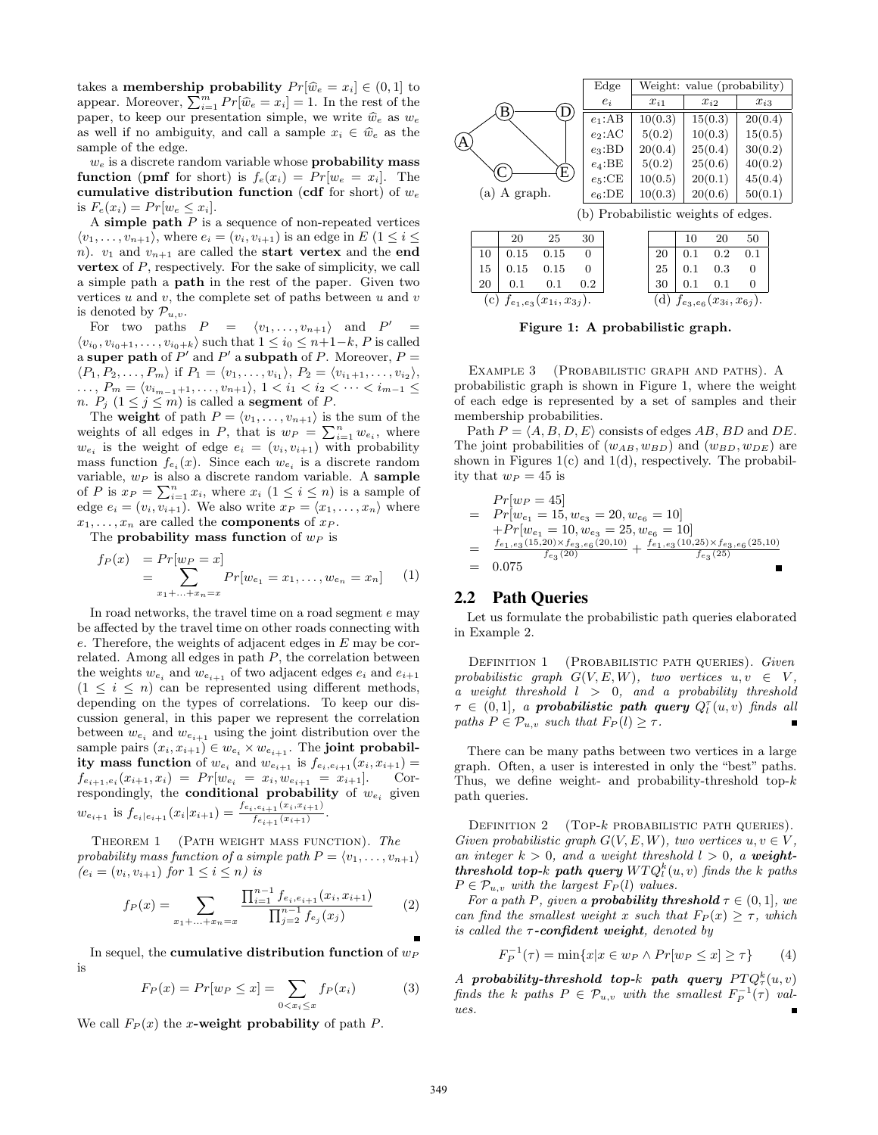takes a **membership probability**  $Pr[\hat{w}_e = x_i] \in (0, 1]$  to appear. Moreover,  $\sum_{i=1}^{m} Pr[\hat{w}_e = x_i] = 1$ . In the rest of the paper, to keep our presentation simple, we write  $\hat{w}_e$  as  $w_e$ as well if no ambiguity, and call a sample  $x_i \in \hat{w}_e$  as the sample of the edge.

 $w_e$  is a discrete random variable whose **probability mass** function (pmf for short) is  $f_e(x_i) = Pr[w_e = x_i]$ . The cumulative distribution function (cdf for short) of  $w_e$ is  $F_e(x_i) = Pr[w_e \leq x_i].$ 

A simple path  $P$  is a sequence of non-repeated vertices  $\langle v_1, \ldots, v_{n+1} \rangle$ , where  $e_i = (v_i, v_{i+1})$  is an edge in  $E$   $(1 \leq i \leq j)$ n).  $v_1$  and  $v_{n+1}$  are called the start vertex and the end vertex of  $P$ , respectively. For the sake of simplicity, we call a simple path a path in the rest of the paper. Given two vertices  $u$  and  $v$ , the complete set of paths between  $u$  and  $v$ is denoted by  $\mathcal{P}_{u,v}$ .

For two paths  $P = \langle v_1, \ldots, v_{n+1} \rangle$  and  $P' =$  $\langle v_{i_0}, v_{i_0+1}, \ldots, v_{i_0+k} \rangle$  such that  $1 \leq i_0 \leq n+1-k$ , P is called a super path of  $P'$  and  $P'$  a subpath of P. Moreover,  $P =$  $\langle P_1, P_2, \ldots, P_m \rangle$  if  $P_1 = \langle v_1, \ldots, v_{i_1} \rangle, P_2 = \langle v_{i_1+1}, \ldots, v_{i_2} \rangle,$ ...,  $P_m = \langle v_{i_{m-1}+1}, \ldots, v_{n+1} \rangle, 1 \langle i_1 \langle i_2 \langle \cdots \langle i_{m-1} \rangle \rangle \rangle$ *n.*  $P_j$   $(1 \leq j \leq m)$  is called a **segment** of *P*.

The **weight** of path  $P = \langle v_1, \ldots, v_{n+1} \rangle$  is the sum of the weights of all edges in P, that is  $w_P = \sum_{i=1}^n w_{e_i}$ , where  $w_{e_i}$  is the weight of edge  $e_i = (v_i, v_{i+1})$  with probability mass function  $f_{e_i}(x)$ . Since each  $w_{e_i}$  is a discrete random variable,  $w_P$  is also a discrete random variable. A sample of P is  $x_P = \sum_{i=1}^n x_i$ , where  $x_i$   $(1 \le i \le n)$  is a sample of edge  $e_i = (v_i, v_{i+1})$ . We also write  $x_P = \langle x_1, \ldots, x_n \rangle$  where  $x_1, \ldots, x_n$  are called the **components** of  $x_P$ .

The **probability mass function** of  $w_P$  is

$$
f_P(x) = Pr[w_P = x]
$$
  
= 
$$
\sum_{x_1 + ... + x_n = x} Pr[w_{e_1} = x_1, ..., w_{e_n} = x_n]
$$
 (1)

In road networks, the travel time on a road segment e may be affected by the travel time on other roads connecting with e. Therefore, the weights of adjacent edges in  $E$  may be correlated. Among all edges in path  $P$ , the correlation between the weights  $w_{e_i}$  and  $w_{e_{i+1}}$  of two adjacent edges  $e_i$  and  $e_{i+1}$  $(1 \leq i \leq n)$  can be represented using different methods, depending on the types of correlations. To keep our discussion general, in this paper we represent the correlation between  $w_{e_i}$  and  $w_{e_{i+1}}$  using the joint distribution over the sample pairs  $(x_i, x_{i+1}) \in w_{e_i} \times w_{e_{i+1}}$ . The **joint probabil**ity mass function of  $w_{e_i}$  and  $w_{e_{i+1}}$  is  $f_{e_i,e_{i+1}}(x_i, x_{i+1}) =$  $f_{e_{i+1},e_i}(x_{i+1},x_i) = Pr[w_{e_i} = x_i, w_{e_{i+1}} = x_{i+1}].$  Correspondingly, the **conditional probability** of  $w_{e_i}$  given  $w_{e_{i+1}}$  is  $f_{e_i|e_{i+1}}(x_i|x_{i+1}) = \frac{f_{e_i,e_{i+1}}(x_i,x_{i+1})}{f_{e_{i+1}}(x_{i+1})}$  $\frac{e_{i+1}(x_i,x_{i+1})}{f_{e_{i+1}}(x_{i+1})}$ .

THEOREM 1 (PATH WEIGHT MASS FUNCTION). The probability mass function of a simple path  $P = \langle v_1, \ldots, v_{n+1} \rangle$  $(e_i = (v_i, v_{i+1})$  for  $1 \le i \le n)$  is

$$
f_P(x) = \sum_{x_1 + \dots + x_n = x} \frac{\prod_{i=1}^{n-1} f_{e_i, e_{i+1}}(x_i, x_{i+1})}{\prod_{j=2}^{n-1} f_{e_j}(x_j)}
$$
(2)

In sequel, the **cumulative distribution function** of  $w_P$ is

$$
F_P(x) = Pr[w_P \le x] = \sum_{0 < x_i \le x} f_P(x_i) \tag{3}
$$

We call  $F_P(x)$  the x-weight probability of path P.



(c)  $f_{e_1,e_3}(x_{1i},x_{3j}).$ (d)  $f_{e_3,e_6}(x_{3i},x_{6j}).$ 

Figure 1: A probabilistic graph.

EXAMPLE 3 (PROBABILISTIC GRAPH AND PATHS). A probabilistic graph is shown in Figure 1, where the weight of each edge is represented by a set of samples and their membership probabilities.

Path  $P = \langle A, B, D, E \rangle$  consists of edges AB, BD and DE. The joint probabilities of  $(w_{AB}, w_{BD})$  and  $(w_{BD}, w_{DE})$  are shown in Figures  $1(c)$  and  $1(d)$ , respectively. The probability that  $w_P = 45$  is

$$
Pr[w_P = 45]
$$
  
=  $Pr[w_{e_1} = 15, w_{e_3} = 20, w_{e_6} = 10]$   
+  $Pr[w_{e_1} = 10, w_{e_3} = 25, w_{e_6} = 10]$   
=  $\frac{f_{e_1,e_3}(15,20) \times f_{e_3,e_6}(20,10)}{f_{e_3}(20)} + \frac{f_{e_1,e_3}(10,25) \times f_{e_3,e_6}(25,10)}{f_{e_3}(25)}$ 

# 2.2 Path Queries

Let us formulate the probabilistic path queries elaborated in Example 2.

DEFINITION 1 (PROBABILISTIC PATH QUERIES). Given probabilistic graph  $G(V, E, W)$ , two vertices  $u, v \in V$ , a weight threshold  $l > 0$ , and a probability threshold  $\tau \in (0,1],$  a probabilistic path query  $Q_l^{\tau}(u, v)$  finds all paths  $P \in \mathcal{P}_{u,v}$  such that  $F_P(l) \geq \tau$ .

There can be many paths between two vertices in a large graph. Often, a user is interested in only the "best" paths. Thus, we define weight- and probability-threshold top- $k$ path queries.

DEFINITION  $2$  (Top- $k$  probabilistic path queries). Given probabilistic graph  $G(V, E, W)$ , two vertices  $u, v \in V$ , an integer  $k > 0$ , and a weight threshold  $l > 0$ , a weightthreshold top-k path query  $W T Q_l^k(u, v)$  finds the k paths  $P \in \mathcal{P}_{u,v}$  with the largest  $F_P(l)$  values.

For a path P, given a **probability threshold**  $\tau \in (0, 1]$ , we can find the smallest weight x such that  $F_P(x) \geq \tau$ , which is called the  $\tau$ -confident weight, denoted by

$$
F_P^{-1}(\tau) = \min\{x | x \in w_P \land Pr[w_P \le x] \ge \tau\}
$$
 (4)

A probability-threshold top- $k$  path query  $PTQ^k_{\tau}(u, v)$ finds the k paths  $P \in \mathcal{P}_{u,v}$  with the smallest  $F_P^{-1}(\tau)$  values.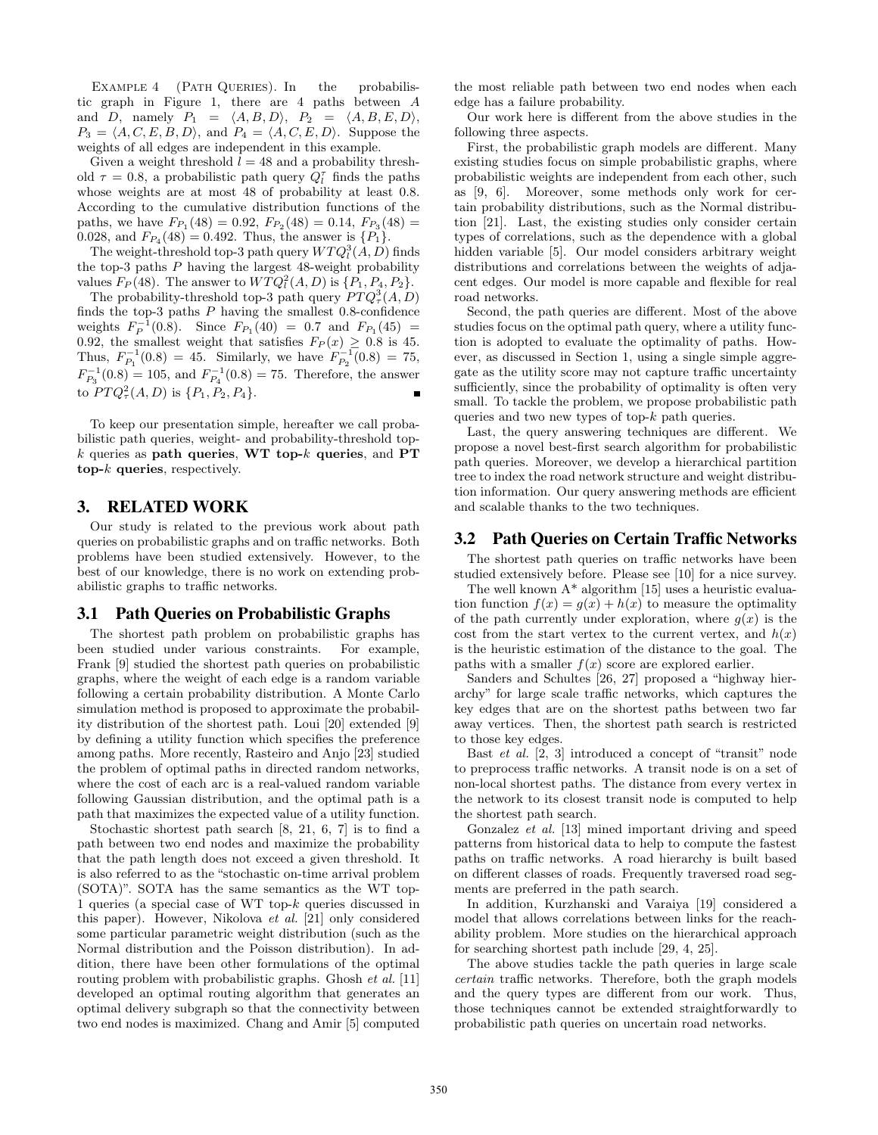EXAMPLE 4 (PATH QUERIES). In the probabilistic graph in Figure 1, there are 4 paths between A and D, namely  $P_1 = \langle A, B, D \rangle$ ,  $P_2 = \langle A, B, E, D \rangle$ ,  $P_3 = \langle A, C, E, B, D \rangle$ , and  $P_4 = \langle A, C, E, D \rangle$ . Suppose the weights of all edges are independent in this example.

Given a weight threshold  $l = 48$  and a probability threshold  $\tau = 0.8$ , a probabilistic path query  $\overline{Q_l^{\tau}}$  finds the paths whose weights are at most 48 of probability at least 0.8. According to the cumulative distribution functions of the paths, we have  $F_{P_1}(48) = 0.92$ ,  $F_{P_2}(48) = 0.14$ ,  $F_{P_3}(48) =$ 0.028, and  $F_{P_4}(48) = 0.492$ . Thus, the answer is  $\{P_1\}$ .

The weight-threshold top-3 path query  $WTQ_l^3(A, D)$  finds the top-3 paths P having the largest 48-weight probability values  $F_P(48)$ . The answer to  $WTQ_l^2(A, D)$  is  $\{P_1, P_4, P_2\}$ .

The probability-threshold top-3 path query  $PTQ_T^3(A, D)$ finds the top-3 paths  $P$  having the smallest 0.8-confidence weights  $F_P^{-1}(0.8)$ . Since  $F_{P_1}(40) = 0.7$  and  $F_{P_1}(45) =$ 0.92, the smallest weight that satisfies  $F_P(x) \geq 0.8$  is 45. Thus,  $F_{P_1}^{-1}(0.8) = 45$ . Similarly, we have  $F_{P_2}^{-1}(0.8) = 75$ ,  $F_{P_3}^{-1}(0.8) = 105$ , and  $F_{P_4}^{-1}(0.8) = 75$ . Therefore, the answer to  $PTQ_{\tau}^{2}(A, D)$  is  $\{P_1, P_2, P_4\}.$ 

To keep our presentation simple, hereafter we call probabilistic path queries, weight- and probability-threshold top $k$  queries as path queries, WT top- $k$  queries, and PT top- $k$  queries, respectively.

# 3. RELATED WORK

Our study is related to the previous work about path queries on probabilistic graphs and on traffic networks. Both problems have been studied extensively. However, to the best of our knowledge, there is no work on extending probabilistic graphs to traffic networks.

# 3.1 Path Queries on Probabilistic Graphs

The shortest path problem on probabilistic graphs has been studied under various constraints. For example, Frank [9] studied the shortest path queries on probabilistic graphs, where the weight of each edge is a random variable following a certain probability distribution. A Monte Carlo simulation method is proposed to approximate the probability distribution of the shortest path. Loui [20] extended [9] by defining a utility function which specifies the preference among paths. More recently, Rasteiro and Anjo [23] studied the problem of optimal paths in directed random networks, where the cost of each arc is a real-valued random variable following Gaussian distribution, and the optimal path is a path that maximizes the expected value of a utility function.

Stochastic shortest path search [8, 21, 6, 7] is to find a path between two end nodes and maximize the probability that the path length does not exceed a given threshold. It is also referred to as the "stochastic on-time arrival problem (SOTA)". SOTA has the same semantics as the WT top-1 queries (a special case of WT top-k queries discussed in this paper). However, Nikolova et al. [21] only considered some particular parametric weight distribution (such as the Normal distribution and the Poisson distribution). In addition, there have been other formulations of the optimal routing problem with probabilistic graphs. Ghosh *et al.* [11] developed an optimal routing algorithm that generates an optimal delivery subgraph so that the connectivity between two end nodes is maximized. Chang and Amir [5] computed the most reliable path between two end nodes when each edge has a failure probability.

Our work here is different from the above studies in the following three aspects.

First, the probabilistic graph models are different. Many existing studies focus on simple probabilistic graphs, where probabilistic weights are independent from each other, such as [9, 6]. Moreover, some methods only work for certain probability distributions, such as the Normal distribution [21]. Last, the existing studies only consider certain types of correlations, such as the dependence with a global hidden variable [5]. Our model considers arbitrary weight distributions and correlations between the weights of adjacent edges. Our model is more capable and flexible for real road networks.

Second, the path queries are different. Most of the above studies focus on the optimal path query, where a utility function is adopted to evaluate the optimality of paths. However, as discussed in Section 1, using a single simple aggregate as the utility score may not capture traffic uncertainty sufficiently, since the probability of optimality is often very small. To tackle the problem, we propose probabilistic path queries and two new types of top- $k$  path queries.

Last, the query answering techniques are different. We propose a novel best-first search algorithm for probabilistic path queries. Moreover, we develop a hierarchical partition tree to index the road network structure and weight distribution information. Our query answering methods are efficient and scalable thanks to the two techniques.

### 3.2 Path Queries on Certain Traffic Networks

The shortest path queries on traffic networks have been studied extensively before. Please see [10] for a nice survey.

The well known  $A^*$  algorithm [15] uses a heuristic evaluation function  $f(x) = g(x) + h(x)$  to measure the optimality of the path currently under exploration, where  $q(x)$  is the cost from the start vertex to the current vertex, and  $h(x)$ is the heuristic estimation of the distance to the goal. The paths with a smaller  $f(x)$  score are explored earlier.

Sanders and Schultes [26, 27] proposed a "highway hierarchy" for large scale traffic networks, which captures the key edges that are on the shortest paths between two far away vertices. Then, the shortest path search is restricted to those key edges.

Bast et al. [2, 3] introduced a concept of "transit" node to preprocess traffic networks. A transit node is on a set of non-local shortest paths. The distance from every vertex in the network to its closest transit node is computed to help the shortest path search.

Gonzalez et al. [13] mined important driving and speed patterns from historical data to help to compute the fastest paths on traffic networks. A road hierarchy is built based on different classes of roads. Frequently traversed road segments are preferred in the path search.

In addition, Kurzhanski and Varaiya [19] considered a model that allows correlations between links for the reachability problem. More studies on the hierarchical approach for searching shortest path include [29, 4, 25].

The above studies tackle the path queries in large scale certain traffic networks. Therefore, both the graph models and the query types are different from our work. Thus, those techniques cannot be extended straightforwardly to probabilistic path queries on uncertain road networks.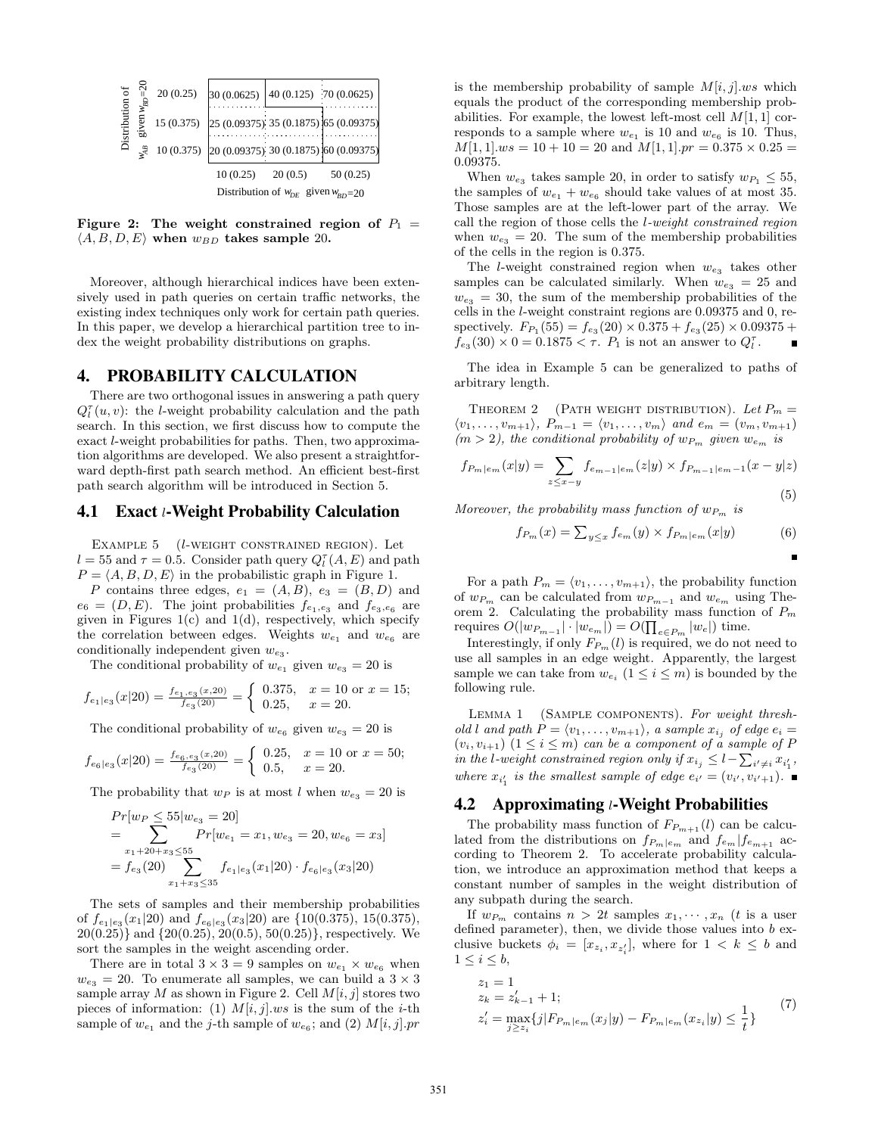

Figure 2: The weight constrained region of  $P_1$  =  $\langle A, B, D, E \rangle$  when  $w_{BD}$  takes sample 20.

Moreover, although hierarchical indices have been extensively used in path queries on certain traffic networks, the existing index techniques only work for certain path queries. In this paper, we develop a hierarchical partition tree to index the weight probability distributions on graphs.

# 4. PROBABILITY CALCULATION

There are two orthogonal issues in answering a path query  $Q_l^{\tau}(u, v)$ : the *l*-weight probability calculation and the path search. In this section, we first discuss how to compute the exact l-weight probabilities for paths. Then, two approximation algorithms are developed. We also present a straightforward depth-first path search method. An efficient best-first path search algorithm will be introduced in Section 5.

# 4.1 Exact *l*-Weight Probability Calculation

EXAMPLE 5 (l-WEIGHT CONSTRAINED REGION). Let  $l = 55$  and  $\tau = 0.5$ . Consider path query  $Q_l^{\tau}(A, E)$  and path  $P = \langle A, B, D, E \rangle$  in the probabilistic graph in Figure 1.

P contains three edges,  $e_1 = (A, B)$ ,  $e_3 = (B, D)$  and  $e_6 = (D, E)$ . The joint probabilities  $f_{e_1,e_3}$  and  $f_{e_3,e_6}$  are given in Figures  $1(c)$  and  $1(d)$ , respectively, which specify the correlation between edges. Weights  $w_{e_1}$  and  $w_{e_6}$  are conditionally independent given  $w_{e_3}$ .

The conditional probability of  $w_{e_1}$  given  $w_{e_3} = 20$  is

$$
f_{e_1|e_3}(x|20) = \frac{f_{e_1,e_3}(x,20)}{f_{e_3}(20)} = \begin{cases} 0.375, & x = 10 \text{ or } x = 15; \\ 0.25, & x = 20. \end{cases}
$$

The conditional probability of  $w_{e_6}$  given  $w_{e_3} = 20$  is

$$
f_{e_6|e_3}(x|20) = \frac{f_{e_6,e_3}(x,20)}{f_{e_3}(20)} = \begin{cases} 0.25, & x = 10 \text{ or } x = 50; \\ 0.5, & x = 20. \end{cases}
$$

The probability that  $w_P$  is at most l when  $w_{e_3} = 20$  is

$$
Pr[w_P \le 55|w_{e_3} = 20]
$$
  
= 
$$
\sum_{x_1+20+x_3 \le 55} Pr[w_{e_1} = x_1, w_{e_3} = 20, w_{e_6} = x_3]
$$
  
= 
$$
f_{e_3}(20) \sum_{x_1+x_3 \le 35} f_{e_1|e_3}(x_1|20) \cdot f_{e_6|e_3}(x_3|20)
$$

The sets of samples and their membership probabilities of  $f_{e_1|e_3}(x_1|20)$  and  $f_{e_6|e_3}(x_3|20)$  are  $\{10(0.375), 15(0.375),$  $20(0.25)$ } and  $\{20(0.25), 20(0.5), 50(0.25)\}$ , respectively. We sort the samples in the weight ascending order.

There are in total  $3 \times 3 = 9$  samples on  $w_{e_1} \times w_{e_6}$  when  $w_{\epsilon_3} = 20$ . To enumerate all samples, we can build a  $3 \times 3$ sample array M as shown in Figure 2. Cell  $M[i, j]$  stores two pieces of information: (1)  $M[i, j].ws$  is the sum of the *i*-th sample of  $w_{e_1}$  and the j-th sample of  $w_{e_6}$ ; and (2)  $M[i, j].pr$ 

is the membership probability of sample  $M[i, j].ws$  which equals the product of the corresponding membership probabilities. For example, the lowest left-most cell  $M[1, 1]$  corresponds to a sample where  $w_{e_1}$  is 10 and  $w_{e_6}$  is 10. Thus,  $M[1, 1].ws = 10 + 10 = 20$  and  $M[1, 1].pr = 0.375 \times 0.25 =$ 0.09375.

When  $w_{e_3}$  takes sample 20, in order to satisfy  $w_{P_1} \leq 55$ , the samples of  $w_{e_1} + w_{e_6}$  should take values of at most 35. Those samples are at the left-lower part of the array. We call the region of those cells the l-weight constrained region when  $w_{e_3} = 20$ . The sum of the membership probabilities of the cells in the region is 0.375.

The *l*-weight constrained region when  $w_{e_3}$  takes other samples can be calculated similarly. When  $w_{e_3} = 25$  and  $w_{e_3} = 30$ , the sum of the membership probabilities of the cells in the l-weight constraint regions are 0.09375 and 0, respectively.  $F_{P_1}(55) = f_{e_3}(20) \times 0.375 + f_{e_3}(25) \times 0.09375 +$  $f_{e_3}(30) \times 0 = 0.1875 < \tau$ .  $P_1$  is not an answer to  $Q_l^{\tau}$ .

The idea in Example 5 can be generalized to paths of arbitrary length.

THEOREM 2 (PATH WEIGHT DISTRIBUTION). Let  $P_m =$  $\langle v_1, \ldots, v_{m+1} \rangle, P_{m-1} = \langle v_1, \ldots, v_m \rangle$  and  $e_m = (v_m, v_{m+1})$  $(m > 2)$ , the conditional probability of  $w_{P_m}$  given  $w_{e_m}$  is

$$
f_{P_m|e_m}(x|y) = \sum_{z \le x-y} f_{e_{m-1}|e_m}(z|y) \times f_{P_{m-1}|e_m-1}(x-y|z)
$$
\n(5)

Moreover, the probability mass function of  $w_{P_m}$  is

$$
f_{P_m}(x) = \sum_{y \le x} f_{e_m}(y) \times f_{P_m|e_m}(x|y)
$$
 (6)

For a path  $P_m = \langle v_1, \ldots, v_{m+1} \rangle$ , the probability function of  $w_{P_m}$  can be calculated from  $w_{P_{m-1}}$  and  $w_{e_m}$  using Theorem 2. Calculating the probability mass function of  $P_m$ requires  $O(|w_{P_{m-1}}| \cdot |w_{e_m}|) = O(\prod_{e \in P_m} |w_e|)$  time.

Interestingly, if only  $F_{P_m}(l)$  is required, we do not need to use all samples in an edge weight. Apparently, the largest sample we can take from  $w_{e_i}$   $(1 \leq i \leq m)$  is bounded by the following rule.

LEMMA 1 (SAMPLE COMPONENTS). For weight threshold l and path  $P = \langle v_1, \ldots, v_{m+1} \rangle$ , a sample  $x_{i_j}$  of edge  $e_i =$  $(v_i, v_{i+1})$   $(1 \leq i \leq m)$  can be a component of a sample of P in the l-weight constrained region only if  $x_{i_j} \leq l - \sum_{i' \neq i} x_{i'_1}$ , where  $x_{i'_1}$  is the smallest sample of edge  $e_{i'} = (v_{i'}, v_{i'+1}).$ 

# 4.2 Approximating l-Weight Probabilities

The probability mass function of  $F_{P_{m+1}}(l)$  can be calculated from the distributions on  $f_{P_m|e_m}$  and  $f_{e_m}|f_{e_{m+1}}$  according to Theorem 2. To accelerate probability calculation, we introduce an approximation method that keeps a constant number of samples in the weight distribution of any subpath during the search.

If  $w_{P_m}$  contains  $n > 2t$  samples  $x_1, \dots, x_n$  (*t* is a user defined parameter), then, we divide those values into  $b$  exclusive buckets  $\phi_i = [x_{z_i}, x_{z'_i}],$  where for  $1 \lt k \leq b$  and  $1 \leq i \leq b$ ,

$$
z_1 = 1
$$
  
\n
$$
z_k = z'_{k-1} + 1;
$$
  
\n
$$
z'_i = \max_{j \ge z_i} \{ j | F_{P_m | e_m}(x_j | y) - F_{P_m | e_m}(x_{z_i} | y) \le \frac{1}{t} \}
$$
\n
$$
(7)
$$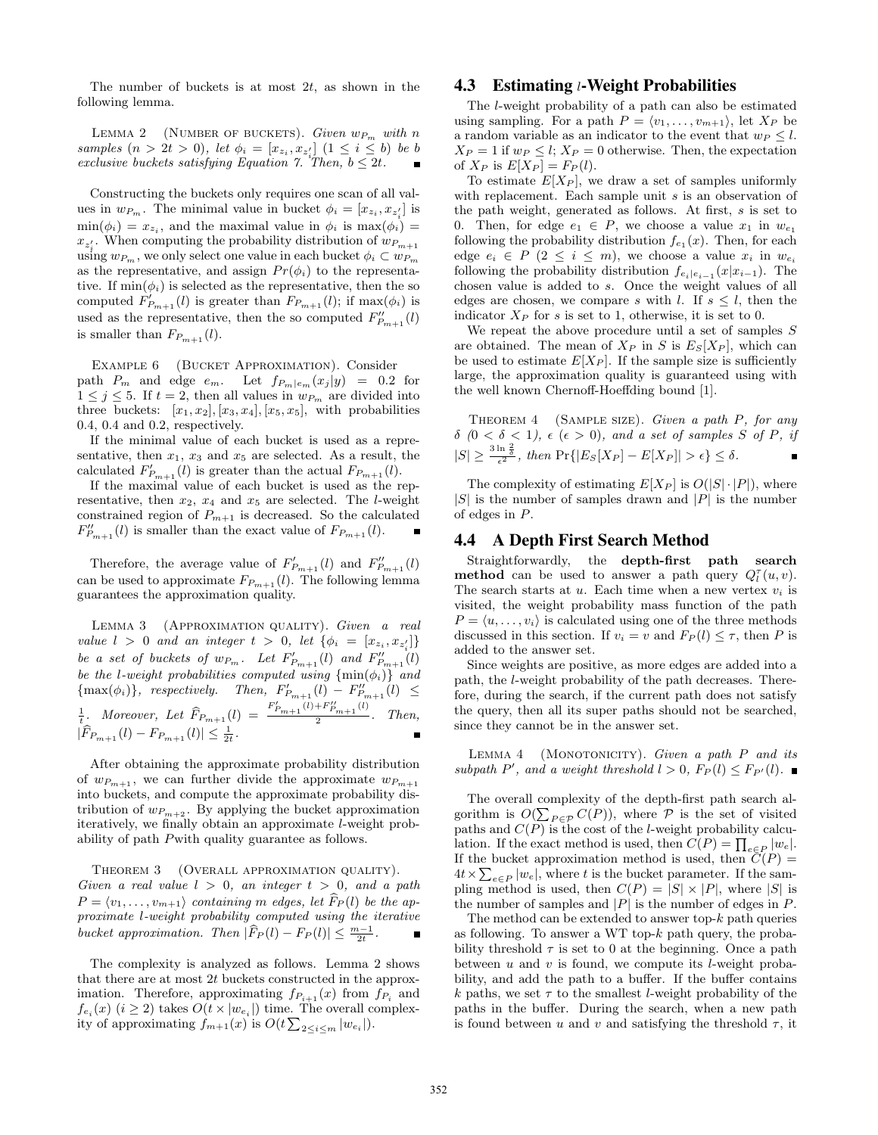The number of buckets is at most  $2t$ , as shown in the following lemma.

LEMMA 2 (NUMBER OF BUCKETS). Given  $w_{P_m}$  with n samples  $(n > 2t > 0)$ , let  $\phi_i = [x_{z_i}, x_{z_i}]\ (1 \leq i \leq b)$  be b exclusive buckets satisfying Equation 7. Then,  $b \leq 2t$ .

Constructing the buckets only requires one scan of all values in  $w_{P_m}$ . The minimal value in bucket  $\phi_i = [x_{z_i}, x_{z'_i}]$  is  $\min(\phi_i) = x_{z_i}$ , and the maximal value in  $\phi_i$  is  $\max(\phi_i) =$  $x_{z_i'}$ . When computing the probability distribution of  $w_{P_{m+1}}$ using  $w_{P_m}$ , we only select one value in each bucket  $\phi_i \subset w_{P_m}$ as the representative, and assign  $Pr(\phi_i)$  to the representative. If  $\min(\phi_i)$  is selected as the representative, then the so computed  $F'_{P_{m+1}}(l)$  is greater than  $F_{P_{m+1}}(l)$ ; if max $(\phi_i)$  is used as the representative, then the so computed  $F_{P_{m+1}}''(l)$ is smaller than  $F_{P_{m+1}}(l)$ .

EXAMPLE 6 (BUCKET APPROXIMATION). Consider path  $P_m$  and edge  $e_m$ . Let  $f_{P_m|e_m}(x_j |y) = 0.2$  for  $1 \leq j \leq 5$ . If  $t = 2$ , then all values in  $w_{P_m}$  are divided into three buckets:  $[x_1, x_2], [x_3, x_4], [x_5, x_5],$  with probabilities 0.4, 0.4 and 0.2, respectively.

If the minimal value of each bucket is used as a representative, then  $x_1$ ,  $x_3$  and  $x_5$  are selected. As a result, the calculated  $F'_{P_{m+1}}(l)$  is greater than the actual  $F_{P_{m+1}}(l)$ .

If the maximal value of each bucket is used as the representative, then  $x_2$ ,  $x_4$  and  $x_5$  are selected. The *l*-weight constrained region of  $P_{m+1}$  is decreased. So the calculated  $F_{P_{m+1}}^{\prime\prime}(l)$  is smaller than the exact value of  $F_{P_{m+1}}(l)$ .

Therefore, the average value of  $F'_{P_{m+1}}(l)$  and  $F''_{P_{m+1}}(l)$ can be used to approximate  $F_{P_{m+1}}(l)$ . The following lemma guarantees the approximation quality.

LEMMA 3 (APPROXIMATION QUALITY). Given a real value  $l > 0$  and an integer  $t > 0$ , let  $\{\phi_i = [x_{z_i}, x_{z'_i}]\}$ be a set of buckets of  $w_{P_m}$ . Let  $F'_{P_{m+1}}(l)$  and  $F''_{P_{m+1}}(l)$ be the l-weight probabilities computed using  $\{\min(\phi_i)\}\$ and  ${\max(\phi_i)}$ , respectively. Then,  $F'_{P_{m+1}}(l) - F''_{P_{m+1}}(l) \leq$  $\frac{1}{t}$ . Moreover, Let  $\widehat{F}_{P_{m+1}}(l) = \frac{F'_{P_{m+1}}(l) + F'_{P_{m+1}}(l)}{2}$  $\frac{r_{m+1}}{2}$ . Then,  $|\widehat{F}_{P_{m+1}}(l) - F_{P_{m+1}}(l)| \leq \frac{1}{2t}.$ 

After obtaining the approximate probability distribution of  $w_{P_{m+1}}$ , we can further divide the approximate  $w_{P_{m+1}}$ into buckets, and compute the approximate probability distribution of  $w_{P_{m+2}}$ . By applying the bucket approximation iteratively, we finally obtain an approximate l-weight probability of path Pwith quality guarantee as follows.

THEOREM 3 (OVERALL APPROXIMATION QUALITY). Given a real value  $l > 0$ , an integer  $t > 0$ , and a path  $P = \langle v_1, \ldots, v_{m+1} \rangle$  containing m edges, let  $\widehat{F}_P(l)$  be the approximate l-weight probability computed using the iterative bucket approximation. Then  $|\widehat{F}_P(l) - F_P(l)| \leq \frac{m-1}{2t}$ .

The complexity is analyzed as follows. Lemma 2 shows that there are at most 2t buckets constructed in the approximation. Therefore, approximating  $f_{P_{i+1}}(x)$  from  $f_{P_i}$  and  $f_{e_i}(x)$   $(i \geq 2)$  takes  $O(t \times |w_{e_i}|)$  time. The overall complexity of approximating  $f_{m+1}(x)$  is  $O(t \sum_{2 \leq i \leq m} |w_{e_i}|)$ .

### 4.3 Estimating l-Weight Probabilities

The l-weight probability of a path can also be estimated using sampling. For a path  $P = \langle v_1, \ldots, v_{m+1} \rangle$ , let  $X_P$  be a random variable as an indicator to the event that  $w_P \leq l$ .  $X_P = 1$  if  $w_P \leq l$ ;  $X_P = 0$  otherwise. Then, the expectation of  $X_P$  is  $E[X_P] = F_P(l)$ .

To estimate  $E[X_P]$ , we draw a set of samples uniformly with replacement. Each sample unit  $s$  is an observation of the path weight, generated as follows. At first, s is set to 0. Then, for edge  $e_1 \in P$ , we choose a value  $x_1$  in  $w_{e_1}$ following the probability distribution  $f_{e_1}(x)$ . Then, for each edge  $e_i \in P$   $(2 \leq i \leq m)$ , we choose a value  $x_i$  in  $w_{e_i}$ following the probability distribution  $f_{e_i|e_{i-1}}(x|x_{i-1})$ . The chosen value is added to s. Once the weight values of all edges are chosen, we compare s with l. If  $s \leq l$ , then the indicator  $X_P$  for s is set to 1, otherwise, it is set to 0.

We repeat the above procedure until a set of samples S are obtained. The mean of  $X_P$  in S is  $E_S[X_P]$ , which can be used to estimate  $E[X_P]$ . If the sample size is sufficiently large, the approximation quality is guaranteed using with the well known Chernoff-Hoeffding bound [1].

THEOREM 4 (SAMPLE SIZE). Given a path P, for any  $\delta$  (0 <  $\delta$  < 1),  $\epsilon$  ( $\epsilon$  > 0), and a set of samples S of P, if  $|S| \geq \frac{3 \ln \frac{2}{\delta}}{\epsilon^2}$ , then  $\Pr\{|E_S[X_P] - E[X_P]| > \epsilon\} \leq \delta$ .

The complexity of estimating  $E[X_P]$  is  $O(|S|\cdot|P|)$ , where  $|S|$  is the number of samples drawn and  $|P|$  is the number of edges in P.

### 4.4 A Depth First Search Method

Straightforwardly, the depth-first path search **method** can be used to answer a path query  $Q_l^{\tau}(u, v)$ . The search starts at u. Each time when a new vertex  $v_i$  is visited, the weight probability mass function of the path  $P = \langle u, \ldots, v_i \rangle$  is calculated using one of the three methods discussed in this section. If  $v_i = v$  and  $F_P(l) \leq \tau$ , then P is added to the answer set.

Since weights are positive, as more edges are added into a path, the l-weight probability of the path decreases. Therefore, during the search, if the current path does not satisfy the query, then all its super paths should not be searched, since they cannot be in the answer set.

LEMMA  $4$  (MONOTONICITY). Given a path  $P$  and its subpath P', and a weight threshold  $l > 0$ ,  $F_P(l) \leq F_{P'}(l)$ .

The overall complexity of the depth-first path search algorithm is  $O(\sum_{P \in \mathcal{P}} C(P))$ , where  $\mathcal P$  is the set of visited paths and  $C(P)$  is the cost of the *l*-weight probability calculation. If the exact method is used, then  $C(P) = \prod_{e \in P} |w_e|$ . If the bucket approximation method is used, then  $\tilde{C}(P)$  =  $4t \times \sum_{e \in P} |w_e|$ , where t is the bucket parameter. If the sampling method is used, then  $C(P) = |S| \times |P|$ , where |S| is the number of samples and  $|P|$  is the number of edges in P.

The method can be extended to answer top- $k$  path queries as following. To answer a WT top- $k$  path query, the probability threshold  $\tau$  is set to 0 at the beginning. Once a path between  $u$  and  $v$  is found, we compute its *l*-weight probability, and add the path to a buffer. If the buffer contains k paths, we set  $\tau$  to the smallest l-weight probability of the paths in the buffer. During the search, when a new path is found between u and v and satisfying the threshold  $\tau$ , it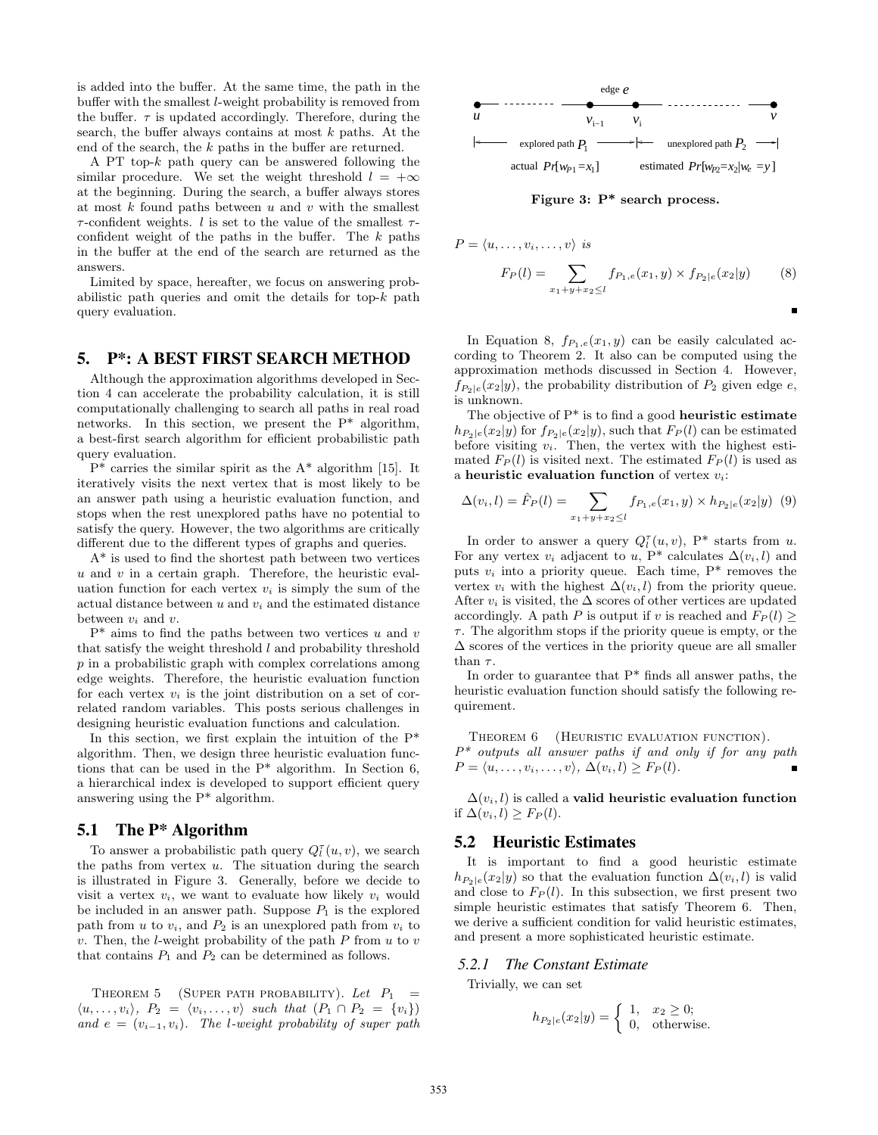is added into the buffer. At the same time, the path in the buffer with the smallest l-weight probability is removed from the buffer.  $\tau$  is updated accordingly. Therefore, during the search, the buffer always contains at most  $k$  paths. At the end of the search, the k paths in the buffer are returned.

A PT top-k path query can be answered following the similar procedure. We set the weight threshold  $l = +\infty$ at the beginning. During the search, a buffer always stores at most  $k$  found paths between  $u$  and  $v$  with the smallest  $\tau$ -confident weights. l is set to the value of the smallest  $\tau$ confident weight of the paths in the buffer. The  $k$  paths in the buffer at the end of the search are returned as the answers.

Limited by space, hereafter, we focus on answering probabilistic path queries and omit the details for top- $k$  path query evaluation.

# 5. P\*: A BEST FIRST SEARCH METHOD

Although the approximation algorithms developed in Section 4 can accelerate the probability calculation, it is still computationally challenging to search all paths in real road networks. In this section, we present the  $P^*$  algorithm, a best-first search algorithm for efficient probabilistic path query evaluation.

 $P^*$  carries the similar spirit as the  $A^*$  algorithm [15]. It iteratively visits the next vertex that is most likely to be an answer path using a heuristic evaluation function, and stops when the rest unexplored paths have no potential to satisfy the query. However, the two algorithms are critically different due to the different types of graphs and queries.

A\* is used to find the shortest path between two vertices  $u$  and  $v$  in a certain graph. Therefore, the heuristic evaluation function for each vertex  $v_i$  is simply the sum of the actual distance between  $u$  and  $v_i$  and the estimated distance between  $v_i$  and  $v$ .

 $P^*$  aims to find the paths between two vertices u and v that satisfy the weight threshold l and probability threshold  $p$  in a probabilistic graph with complex correlations among edge weights. Therefore, the heuristic evaluation function for each vertex  $v_i$  is the joint distribution on a set of correlated random variables. This posts serious challenges in designing heuristic evaluation functions and calculation.

In this section, we first explain the intuition of the  $P^*$ algorithm. Then, we design three heuristic evaluation functions that can be used in the  $P^*$  algorithm. In Section 6, a hierarchical index is developed to support efficient query answering using the P\* algorithm.

# 5.1 The P\* Algorithm

To answer a probabilistic path query  $Q_l^{\tau}(u, v)$ , we search the paths from vertex  $u$ . The situation during the search is illustrated in Figure 3. Generally, before we decide to visit a vertex  $v_i$ , we want to evaluate how likely  $v_i$  would be included in an answer path. Suppose  $P_1$  is the explored path from u to  $v_i$ , and  $P_2$  is an unexplored path from  $v_i$  to v. Then, the *l*-weight probability of the path  $P$  from  $u$  to  $v$ that contains  $P_1$  and  $P_2$  can be determined as follows.

THEOREM 5 (SUPER PATH PROBABILITY). Let  $P_1$  =  $\langle u, \ldots, v_i \rangle$ ,  $P_2 = \langle v_i, \ldots, v \rangle$  such that  $(P_1 \cap P_2 = \{v_i\})$ 





$$
P = \langle u, \dots, v_i, \dots, v \rangle \text{ is}
$$
  
\n
$$
F_P(l) = \sum_{x_1 + y + x_2 \le l} f_{P_1, e}(x_1, y) \times f_{P_2|e}(x_2|y) \tag{8}
$$

In Equation 8,  $f_{P_1,e}(x_1,y)$  can be easily calculated according to Theorem 2. It also can be computed using the approximation methods discussed in Section 4. However,  $f_{P_2|e}(x_2|y)$ , the probability distribution of  $P_2$  given edge e, is unknown.

The objective of  $P^*$  is to find a good **heuristic estimate**  $h_{P_2|e}(x_2|y)$  for  $f_{P_2|e}(x_2|y)$ , such that  $F_P(l)$  can be estimated before visiting  $v_i$ . Then, the vertex with the highest estimated  $F_P(l)$  is visited next. The estimated  $F_P(l)$  is used as a heuristic evaluation function of vertex  $v_i$ :

$$
\Delta(v_i, l) = \hat{F}_P(l) = \sum_{x_1 + y + x_2 \le l} f_{P_1, e}(x_1, y) \times h_{P_2|e}(x_2|y) \tag{9}
$$

and the line of the systep of society, interaction, the line of such a state of the line of such a state of such a state of such a state of such a state of such a state of such a state of such a state of such a state of s In order to answer a query  $Q_l^{\tau}(u, v)$ , P<sup>\*</sup> starts from u. For any vertex  $v_i$  adjacent to u, P<sup>\*</sup> calculates  $\Delta(v_i, l)$  and puts  $v_i$  into a priority queue. Each time,  $P^*$  removes the vertex  $v_i$  with the highest  $\Delta(v_i, l)$  from the priority queue. After  $v_i$  is visited, the  $\Delta$  scores of other vertices are updated accordingly. A path P is output if v is reached and  $F_P(l) \geq$  $\tau$ . The algorithm stops if the priority queue is empty, or the  $\Delta$  scores of the vertices in the priority queue are all smaller than  $\tau$ .

In order to guarantee that  $P^*$  finds all answer paths, the heuristic evaluation function should satisfy the following requirement.

THEOREM 6 (HEURISTIC EVALUATION FUNCTION).  $P^*$  outputs all answer paths if and only if for any path  $P = \langle u, \ldots, v_i, \ldots, v \rangle, \Delta(v_i, l) \geq F_P(l).$ 

 $\Delta(v_i, l)$  is called a **valid heuristic evaluation function** if  $\Delta(v_i, l) > F_P(l)$ .

# 5.2 Heuristic Estimates

It is important to find a good heuristic estimate  $h_{P_2|e}(x_2|y)$  so that the evaluation function  $\Delta(v_i, l)$  is valid and close to  $F_P(l)$ . In this subsection, we first present two simple heuristic estimates that satisfy Theorem 6. Then, we derive a sufficient condition for valid heuristic estimates, and present a more sophisticated heuristic estimate.

#### *5.2.1 The Constant Estimate*

Trivially, we can set

$$
h_{P_2|e}(x_2|y) = \begin{cases} 1, & x_2 \ge 0; \\ 0, & \text{otherwise.} \end{cases}
$$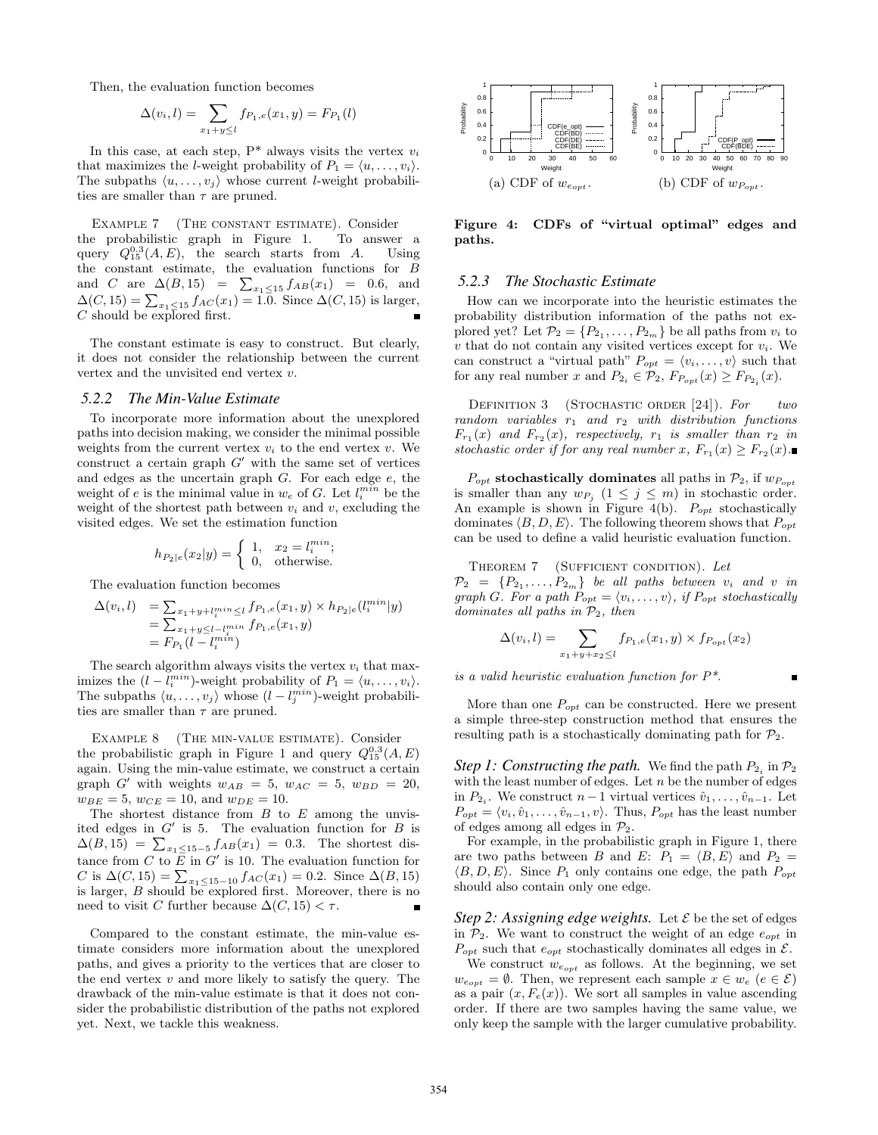Then, the evaluation function becomes

$$
\Delta(v_i, l) = \sum_{x_1 + y \le l} f_{P_1, e}(x_1, y) = F_{P_1}(l)
$$

In this case, at each step,  $P^*$  always visits the vertex  $v_i$ that maximizes the *l*-weight probability of  $P_1 = \langle u, \ldots, v_i \rangle$ . The subpaths  $\langle u, \ldots, v_j \rangle$  whose current *l*-weight probabilities are smaller than  $\tau$  are pruned.

EXAMPLE 7 (THE CONSTANT ESTIMATE). Consider the probabilistic graph in Figure 1. To answer a query  $Q_{15}^{0.3}(A, E)$ , the search starts from A. Using the constant estimate, the evaluation functions for  $B$ and C are  $\Delta(B, 15) = \sum_{x_1 \le 15} f_{AB}(x_1) = 0.6$ , and  $\Delta(C, 15) = \sum_{x_1 \le 15} f_{AC}(x_1) = 1.0$ . Since  $\Delta(C, 15)$  is larger,  $C$  should be explored first.

The constant estimate is easy to construct. But clearly, it does not consider the relationship between the current vertex and the unvisited end vertex v.

#### *5.2.2 The Min-Value Estimate*

To incorporate more information about the unexplored paths into decision making, we consider the minimal possible weights from the current vertex  $v_i$  to the end vertex  $v$ . We construct a certain graph  $G'$  with the same set of vertices and edges as the uncertain graph  $G$ . For each edge  $e$ , the weight of e is the minimal value in  $w_e$  of G. Let  $l_i^{min}$  be the weight of the shortest path between  $v_i$  and  $v$ , excluding the visited edges. We set the estimation function

$$
h_{P_2|e}(x_2|y) = \begin{cases} 1, & x_2 = l_i^{min}; \\ 0, & \text{otherwise}. \end{cases}
$$

The evaluation function becomes

$$
\Delta(v_i, l) = \sum_{x_1+y+l_i^{min} \leq l} f_{P_1, e}(x_1, y) \times h_{P_2|e}(l_i^{min}|y) \n= \sum_{x_1+y \leq l-l_i^{min}} f_{P_1, e}(x_1, y) \n= F_{P_1}(l - l_i^{min})
$$

The search algorithm always visits the vertex  $v_i$  that maximizes the  $(l - \overline{l_i^{min}})$ -weight probability of  $P_1 = \langle u, \ldots, v_i \rangle$ . The subpaths  $\langle u, \ldots, v_j \rangle$  whose  $(l - l_j^{min})$ -weight probabilities are smaller than  $\tau$  are pruned.

Example 8 (The min-value estimate). Consider the probabilistic graph in Figure 1 and query  $Q_{15}^{0.3}(A, E)$ again. Using the min-value estimate, we construct a certain graph G' with weights  $w_{AB} = 5$ ,  $w_{AC} = 5$ ,  $w_{BD} = 20$ ,  $w_{BE} = 5$ ,  $w_{CE} = 10$ , and  $w_{DE} = 10$ .

The shortest distance from  $B$  to  $E$  among the unvisited edges in  $G'$  is 5. The evaluation function for  $B$  is  $\Delta(B, 15) = \sum_{x_1 \le 15-5} f_{AB}(x_1) = 0.3$ . The shortest distance from C to  $\overline{E}$  in G' is 10. The evaluation function for C is  $\Delta(C, 15) = \sum_{x_1 \le 15-10} f_{AC}(x_1) = 0.2$ . Since  $\Delta(B, 15)$  is larger, B should be explored first. Moreover, there is no need to visit C further because  $\Delta(C, 15) < \tau$ .

Compared to the constant estimate, the min-value estimate considers more information about the unexplored paths, and gives a priority to the vertices that are closer to the end vertex  $v$  and more likely to satisfy the query. The drawback of the min-value estimate is that it does not consider the probabilistic distribution of the paths not explored yet. Next, we tackle this weakness.



Figure 4: CDFs of "virtual optimal" edges and paths.

#### *5.2.3 The Stochastic Estimate*

How can we incorporate into the heuristic estimates the probability distribution information of the paths not explored yet? Let  $\mathcal{P}_2 = \{P_{2_1}, \ldots, P_{2_m}\}\$  be all paths from  $v_i$  to  $v$  that do not contain any visited vertices except for  $v_i$ . We can construct a "virtual path"  $P_{opt} = \langle v_i, \ldots, v \rangle$  such that for any real number x and  $P_{2_i} \in \mathcal{P}_2$ ,  $F_{P_{opt}}(x) \geq F_{P_{2_i}}(x)$ .

DEFINITION 3 (STOCHASTIC ORDER  $[24]$ ). For two random variables  $r_1$  and  $r_2$  with distribution functions  $F_{r_1}(x)$  and  $F_{r_2}(x)$ , respectively,  $r_1$  is smaller than  $r_2$  in stochastic order if for any real number x,  $F_{r_1}(x) \geq F_{r_2}(x)$ .

 $P_{opt}$  stochastically dominates all paths in  $\mathcal{P}_2$ , if  $w_{Part}$ is smaller than any  $w_{P_j}$   $(1 \leq j \leq m)$  in stochastic order. An example is shown in Figure 4(b).  $P_{opt}$  stochastically dominates  $\langle B, D, E \rangle$ . The following theorem shows that  $P_{opt}$ can be used to define a valid heuristic evaluation function.

THEOREM 7 (SUFFICIENT CONDITION). Let

 $\mathcal{P}_2 = \{P_{2_1}, \ldots, P_{2_m}\}$  be all paths between  $v_i$  and v in graph G. For a path  $P_{opt} = \langle v_i, \ldots, v \rangle$ , if  $P_{opt}$  stochastically dominates all paths in  $\mathcal{P}_2$ , then

$$
\Delta(v_i, l) = \sum_{x_1 + y + x_2 \le l} f_{P_1, e}(x_1, y) \times f_{P_{opt}}(x_2)
$$

is a valid heuristic evaluation function for  $P^*$ .

More than one  $P_{opt}$  can be constructed. Here we present a simple three-step construction method that ensures the resulting path is a stochastically dominating path for  $\mathcal{P}_2$ .

Step 1: Constructing the path. We find the path  $P_{2_i}$  in  $P_2$ with the least number of edges. Let  $n$  be the number of edges in  $P_{2_i}$ . We construct  $n-1$  virtual vertices  $\hat{v}_1, \ldots, \hat{v}_{n-1}$ . Let  $P_{opt} = \langle v_i, \hat{v}_1, \dots, \hat{v}_{n-1}, v \rangle$ . Thus,  $P_{opt}$  has the least number of edges among all edges in  $\mathcal{P}_2$ .

For example, in the probabilistic graph in Figure 1, there are two paths between B and E:  $P_1 = \langle B, E \rangle$  and  $P_2 =$  $\langle B, D, E \rangle$ . Since  $P_1$  only contains one edge, the path  $P_{opt}$ should also contain only one edge.

*Step 2: Assigning edge weights.* Let  $\mathcal{E}$  be the set of edges in  $\mathcal{P}_2$ . We want to construct the weight of an edge  $e_{opt}$  in  $P_{opt}$  such that  $e_{opt}$  stochastically dominates all edges in  $\mathcal{E}$ .

We construct  $w_{e_{opt}}$  as follows. At the beginning, we set  $w_{e_{\text{cont}}} = \emptyset$ . Then, we represent each sample  $x \in w_e$   $(e \in \mathcal{E})$ as a pair  $(x, F_e(x))$ . We sort all samples in value ascending order. If there are two samples having the same value, we only keep the sample with the larger cumulative probability.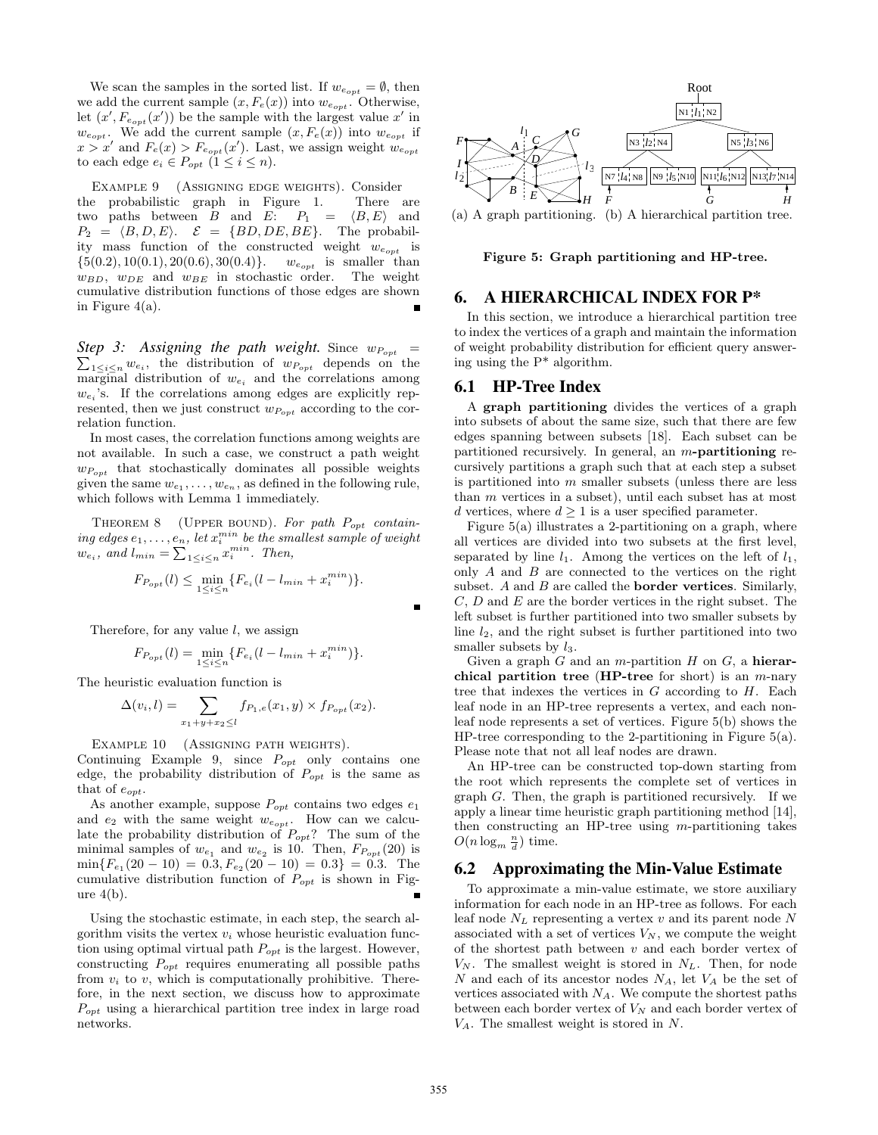We scan the samples in the sorted list. If  $w_{e_{opt}} = \emptyset$ , then we add the current sample  $(x, F_e(x))$  into  $w_{e_{opt}}$ . Otherwise, let  $(x', F_{e_{opt}}(x'))$  be the sample with the largest value x' in  $w_{e_{opt}}$ . We add the current sample  $(x, F_e(x))$  into  $w_{e_{opt}}$  if  $x > x'$  and  $F_e(x) > F_{e_{opt}}(x')$ . Last, we assign weight  $w_{e_{opt}}$ to each edge  $e_i \in P_{opt}$   $(1 \leq i \leq n)$ .

Example 9 (Assigning edge weights). Consider the probabilistic graph in Figure 1. There are two paths between B and E:  $P_1 = \langle B, E \rangle$  and  $P_2 = \langle B, D, E \rangle$ .  $\mathcal{E} = \{BD, DE, BE\}$ . The probability mass function of the constructed weight  $w_{e_{opt}}$  is  $\{5(0.2), 10(0.1), 20(0.6), 30(0.4)\}.$  we<sub>opt</sub> is smaller than  $w_{BD}$ ,  $w_{DE}$  and  $w_{BE}$  in stochastic order. The weight  $w_{BD}$ ,  $w_{DE}$  and  $w_{BE}$  in stochastic order. cumulative distribution functions of those edges are shown in Figure  $4(a)$ .

 $\sum_{1 \leq i \leq n} w_{e_i}$ , the distribution of  $w_{P_{opt}}$  depends on the *Step* 3: Assigning the path weight. Since  $w_{P_{opt}} =$ marginal distribution of  $w_{e_i}$  and the correlations among  $w_{e_i}$ 's. If the correlations among edges are explicitly represented, then we just construct  $w_{P_{opt}}$  according to the correlation function.

In most cases, the correlation functions among weights are not available. In such a case, we construct a path weight  $w_{P_{opt}}$  that stochastically dominates all possible weights given the same  $w_{e_1}, \ldots, w_{e_n}$ , as defined in the following rule, which follows with Lemma 1 immediately.

THEOREM 8 (UPPER BOUND). For path P<sub>opt</sub> containing edges  $e_1, \ldots, e_n$ , let  $x_i^{min}$  be the smallest sample of weight  $w_{e_i}$ , and  $l_{min} = \sum_{1 \leq i \leq n} x_i^{min}$ . Then,

$$
F_{P_{opt}}(l) \le \min_{1 \le i \le n} \{ F_{e_i}(l - l_{min} + x_i^{min}) \}.
$$

Therefore, for any value  $l$ , we assign

$$
F_{P_{opt}}(l) = \min_{1 \le i \le n} \{ F_{e_i}(l - l_{min} + x_i^{min}) \}.
$$

The heuristic evaluation function is

$$
\Delta(v_i, l) = \sum_{x_1+y+x_2 \leq l} f_{P_1,e}(x_1, y) \times f_{P_{opt}}(x_2).
$$

EXAMPLE 10 (ASSIGNING PATH WEIGHTS).

Continuing Example 9, since  $P_{opt}$  only contains one edge, the probability distribution of  $P_{opt}$  is the same as that of  $e_{opt}$ .

As another example, suppose  $P_{opt}$  contains two edges  $e_1$ and  $e_2$  with the same weight  $w_{e_{opt}}$ . How can we calculate the probability distribution of  $P_{opt}$ ? The sum of the minimal samples of  $w_{e_1}$  and  $w_{e_2}$  is 10. Then,  $F_{P_{opt}}(20)$  is  $\min\{F_{e_1}(20-10) = 0.3, F_{e_2}(20-10) = 0.3\} = 0.3$ . The cumulative distribution function of  $P_{opt}$  is shown in Figure  $4(b)$ .

Using the stochastic estimate, in each step, the search algorithm visits the vertex  $v_i$  whose heuristic evaluation function using optimal virtual path  $P_{opt}$  is the largest. However, constructing  $P_{opt}$  requires enumerating all possible paths from  $v_i$  to v, which is computationally prohibitive. Therefore, in the next section, we discuss how to approximate  $P_{opt}$  using a hierarchical partition tree index in large road networks.



Figure 5: Graph partitioning and HP-tree.

# 6. A HIERARCHICAL INDEX FOR P\*

In this section, we introduce a hierarchical partition tree to index the vertices of a graph and maintain the information of weight probability distribution for efficient query answering using the P\* algorithm.

### 6.1 HP-Tree Index

A graph partitioning divides the vertices of a graph into subsets of about the same size, such that there are few edges spanning between subsets [18]. Each subset can be partitioned recursively. In general, an m-partitioning recursively partitions a graph such that at each step a subset is partitioned into m smaller subsets (unless there are less than  $m$  vertices in a subset), until each subset has at most d vertices, where  $d \geq 1$  is a user specified parameter.

Figure 5(a) illustrates a 2-partitioning on a graph, where all vertices are divided into two subsets at the first level, separated by line  $l_1$ . Among the vertices on the left of  $l_1$ , only A and B are connected to the vertices on the right subset. A and  $B$  are called the **border vertices**. Similarly,  $C, D$  and  $E$  are the border vertices in the right subset. The left subset is further partitioned into two smaller subsets by line  $l_2$ , and the right subset is further partitioned into two smaller subsets by  $l_3$ .

Given a graph  $G$  and an *m*-partition  $H$  on  $G$ , a **hierar**chical partition tree (HP-tree for short) is an  $m$ -nary tree that indexes the vertices in  $G$  according to  $H$ . Each leaf node in an HP-tree represents a vertex, and each nonleaf node represents a set of vertices. Figure 5(b) shows the HP-tree corresponding to the 2-partitioning in Figure 5(a). Please note that not all leaf nodes are drawn.

An HP-tree can be constructed top-down starting from the root which represents the complete set of vertices in graph G. Then, the graph is partitioned recursively. If we apply a linear time heuristic graph partitioning method [14], then constructing an HP-tree using m-partitioning takes  $O(n \log_m \frac{n}{d})$  time.

#### 6.2 Approximating the Min-Value Estimate

To approximate a min-value estimate, we store auxiliary information for each node in an HP-tree as follows. For each leaf node  $N_L$  representing a vertex v and its parent node N associated with a set of vertices  $V_N$ , we compute the weight of the shortest path between  $v$  and each border vertex of  $V_N$ . The smallest weight is stored in  $N_L$ . Then, for node N and each of its ancestor nodes  $N_A$ , let  $V_A$  be the set of vertices associated with  $N_A$ . We compute the shortest paths between each border vertex of  $V_N$  and each border vertex of VA. The smallest weight is stored in N.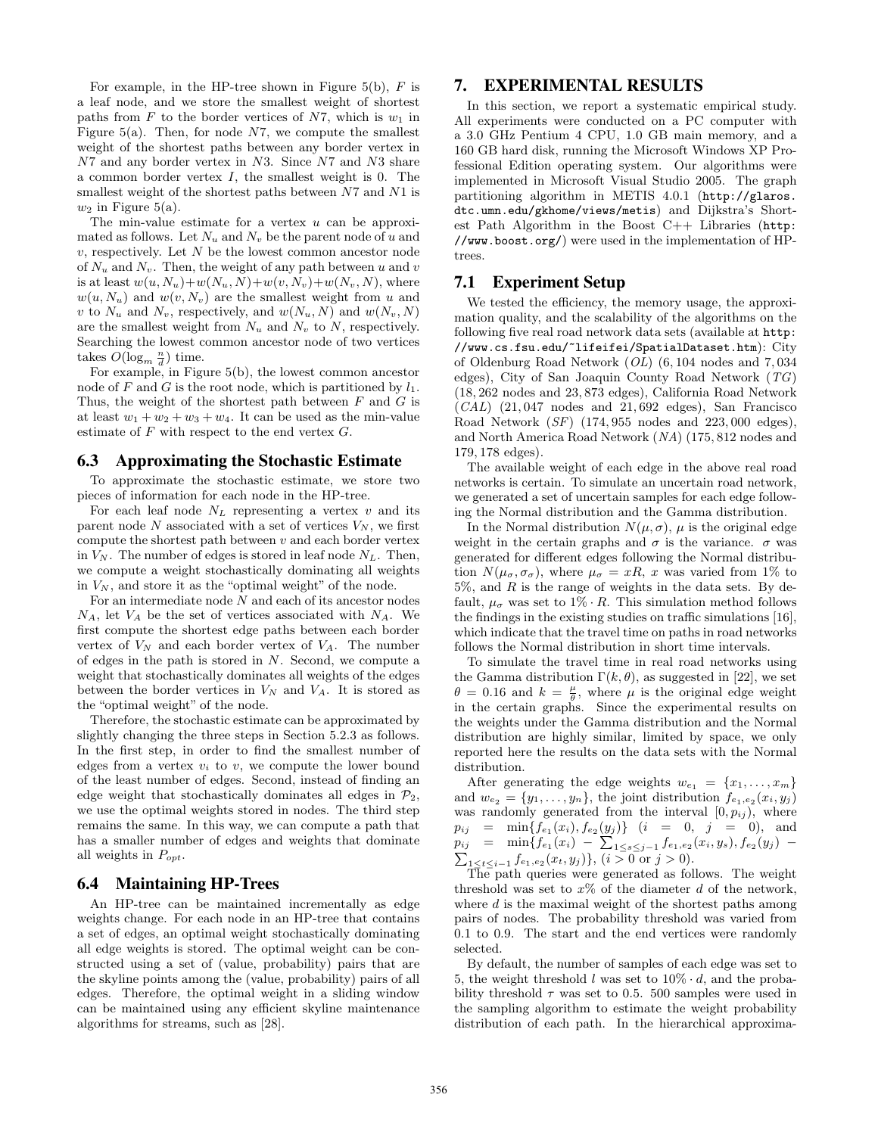For example, in the HP-tree shown in Figure 5(b),  $F$  is a leaf node, and we store the smallest weight of shortest paths from  $F$  to the border vertices of  $N7$ , which is  $w_1$  in Figure 5(a). Then, for node  $N7$ , we compute the smallest weight of the shortest paths between any border vertex in N7 and any border vertex in N3. Since N7 and N3 share a common border vertex I, the smallest weight is 0. The smallest weight of the shortest paths between N7 and N1 is  $w_2$  in Figure 5(a).

The min-value estimate for a vertex  $u$  can be approximated as follows. Let  $N_u$  and  $N_v$  be the parent node of u and  $v$ , respectively. Let  $N$  be the lowest common ancestor node of  $N_u$  and  $N_v$ . Then, the weight of any path between u and v is at least  $w(u, N_u)+w(N_u, N)+w(v, N_v)+w(N_v, N)$ , where  $w(u, N_u)$  and  $w(v, N_v)$  are the smallest weight from u and v to  $N_u$  and  $N_v$ , respectively, and  $w(N_u, N)$  and  $w(N_v, N)$ are the smallest weight from  $N_u$  and  $N_v$  to N, respectively. Searching the lowest common ancestor node of two vertices takes  $O(\log_m \frac{n}{d})$  time.

For example, in Figure 5(b), the lowest common ancestor node of F and G is the root node, which is partitioned by  $l_1$ . Thus, the weight of the shortest path between  $F$  and  $G$  is at least  $w_1 + w_2 + w_3 + w_4$ . It can be used as the min-value estimate of  $F$  with respect to the end vertex  $G$ .

### 6.3 Approximating the Stochastic Estimate

To approximate the stochastic estimate, we store two pieces of information for each node in the HP-tree.

For each leaf node  $N_L$  representing a vertex v and its parent node  $N$  associated with a set of vertices  $V_N$ , we first compute the shortest path between  $v$  and each border vertex in  $V_N$ . The number of edges is stored in leaf node  $N_L$ . Then, we compute a weight stochastically dominating all weights in  $V_N$ , and store it as the "optimal weight" of the node.

For an intermediate node N and each of its ancestor nodes  $N_A$ , let  $V_A$  be the set of vertices associated with  $N_A$ . We first compute the shortest edge paths between each border vertex of  $V_N$  and each border vertex of  $V_A$ . The number of edges in the path is stored in  $N$ . Second, we compute a weight that stochastically dominates all weights of the edges between the border vertices in  $V_N$  and  $V_A$ . It is stored as the "optimal weight" of the node.

Therefore, the stochastic estimate can be approximated by slightly changing the three steps in Section 5.2.3 as follows. In the first step, in order to find the smallest number of edges from a vertex  $v_i$  to  $v$ , we compute the lower bound of the least number of edges. Second, instead of finding an edge weight that stochastically dominates all edges in  $\mathcal{P}_2$ , we use the optimal weights stored in nodes. The third step remains the same. In this way, we can compute a path that has a smaller number of edges and weights that dominate all weights in  $P_{opt}$ .

### 6.4 Maintaining HP-Trees

An HP-tree can be maintained incrementally as edge weights change. For each node in an HP-tree that contains a set of edges, an optimal weight stochastically dominating all edge weights is stored. The optimal weight can be constructed using a set of (value, probability) pairs that are the skyline points among the (value, probability) pairs of all edges. Therefore, the optimal weight in a sliding window can be maintained using any efficient skyline maintenance algorithms for streams, such as [28].

# 7. EXPERIMENTAL RESULTS

In this section, we report a systematic empirical study. All experiments were conducted on a PC computer with a 3.0 GHz Pentium 4 CPU, 1.0 GB main memory, and a 160 GB hard disk, running the Microsoft Windows XP Professional Edition operating system. Our algorithms were implemented in Microsoft Visual Studio 2005. The graph partitioning algorithm in METIS 4.0.1 (http://glaros. dtc.umn.edu/gkhome/views/metis) and Dijkstra's Shortest Path Algorithm in the Boost C++ Libraries (http: //www.boost.org/) were used in the implementation of HPtrees.

# 7.1 Experiment Setup

We tested the efficiency, the memory usage, the approximation quality, and the scalability of the algorithms on the following five real road network data sets (available at http: //www.cs.fsu.edu/~lifeifei/SpatialDataset.htm): City of Oldenburg Road Network (OL) (6, 104 nodes and 7, 034 edges), City of San Joaquin County Road Network (TG) (18, 262 nodes and 23, 873 edges), California Road Network  $(CAL)$   $(21, 047 \text{ nodes and } 21, 692 \text{ edges}),$  San Francisco Road Network (SF) (174, 955 nodes and 223, 000 edges), and North America Road Network (NA) (175, 812 nodes and 179, 178 edges).

The available weight of each edge in the above real road networks is certain. To simulate an uncertain road network, we generated a set of uncertain samples for each edge following the Normal distribution and the Gamma distribution.

In the Normal distribution  $N(\mu, \sigma)$ ,  $\mu$  is the original edge weight in the certain graphs and  $\sigma$  is the variance.  $\sigma$  was generated for different edges following the Normal distribution  $N(\mu_{\sigma}, \sigma_{\sigma})$ , where  $\mu_{\sigma} = xR$ , x was varied from 1% to  $5\%$ , and  $R$  is the range of weights in the data sets. By default,  $\mu_{\sigma}$  was set to  $1\% \cdot R$ . This simulation method follows the findings in the existing studies on traffic simulations [16], which indicate that the travel time on paths in road networks follows the Normal distribution in short time intervals.

To simulate the travel time in real road networks using the Gamma distribution  $\Gamma(k, \theta)$ , as suggested in [22], we set  $\theta = 0.16$  and  $k = \frac{\mu}{\theta}$ , where  $\mu$  is the original edge weight in the certain graphs. Since the experimental results on the weights under the Gamma distribution and the Normal distribution are highly similar, limited by space, we only reported here the results on the data sets with the Normal distribution.

After generating the edge weights  $w_{e_1} = \{x_1, \ldots, x_m\}$ and  $w_{e_2} = \{y_1, \ldots, y_n\}$ , the joint distribution  $f_{e_1, e_2}(x_i, y_j)$ was randomly generated from the interval  $[0, p_{ij})$ , where  $p_{ij}$  =  $\min\{f_{e_1}(x_i), f_{e_2}(y_j)\}$   $(i$  = 0, j = 0), and  $p_{ij}$  =  $\min \{f_{e_1}(x_i) - \sum_{1 \leq s \leq j-1}^{s} f_{e_1,e_2}(x_i,y_s), f_{e_2}(y_j) - \sum_{i=1}^{n} f_{e_1,e_2}(x_i,y_s)\}$  $\sum_{1 \leq t \leq i-1} f_{e_1,e_2}(x_t,y_j) \}, (i \geq 0 \text{ or } j > 0).$ 

The path queries were generated as follows. The weight threshold was set to  $x\%$  of the diameter d of the network, where  $d$  is the maximal weight of the shortest paths among pairs of nodes. The probability threshold was varied from 0.1 to 0.9. The start and the end vertices were randomly selected.

By default, the number of samples of each edge was set to 5, the weight threshold l was set to  $10\% \cdot d$ , and the probability threshold  $\tau$  was set to 0.5. 500 samples were used in the sampling algorithm to estimate the weight probability distribution of each path. In the hierarchical approxima-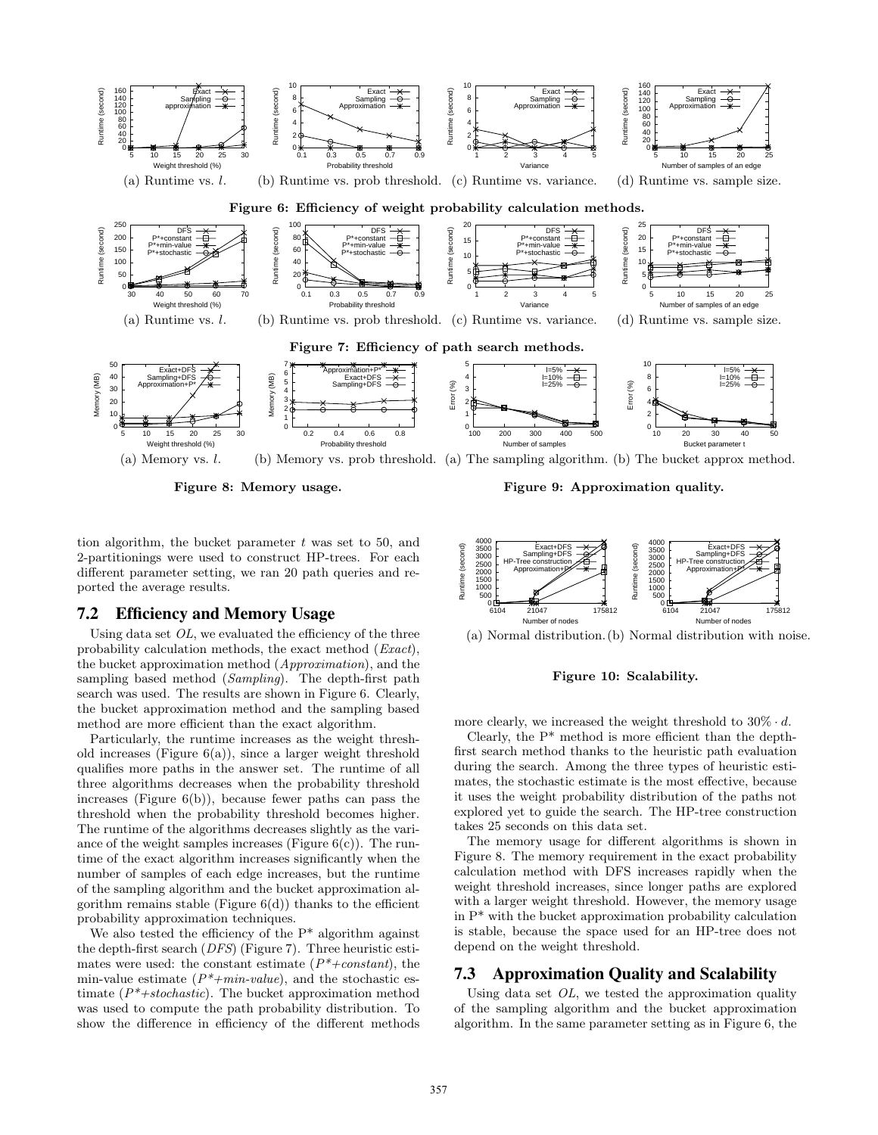

Figure 8: Memory usage.

Figure 9: Approximation quality.

tion algorithm, the bucket parameter  $t$  was set to 50, and 2-partitionings were used to construct HP-trees. For each different parameter setting, we ran 20 path queries and reported the average results.

# 7.2 Efficiency and Memory Usage

Using data set *OL*, we evaluated the efficiency of the three probability calculation methods, the exact method (Exact), the bucket approximation method (Approximation), and the sampling based method (Sampling). The depth-first path search was used. The results are shown in Figure 6. Clearly, the bucket approximation method and the sampling based method are more efficient than the exact algorithm.

Particularly, the runtime increases as the weight threshold increases (Figure  $6(a)$ ), since a larger weight threshold qualifies more paths in the answer set. The runtime of all three algorithms decreases when the probability threshold increases (Figure  $6(b)$ ), because fewer paths can pass the threshold when the probability threshold becomes higher. The runtime of the algorithms decreases slightly as the variance of the weight samples increases (Figure  $6(c)$ ). The runtime of the exact algorithm increases significantly when the number of samples of each edge increases, but the runtime of the sampling algorithm and the bucket approximation algorithm remains stable (Figure  $6(d)$ ) thanks to the efficient probability approximation techniques.

We also tested the efficiency of the  $P^*$  algorithm against the depth-first search (DFS) (Figure 7). Three heuristic estimates were used: the constant estimate  $(P^*+constant)$ , the min-value estimate  $(P^*+min\-value)$ , and the stochastic estimate  $(P^* + stochastic)$ . The bucket approximation method was used to compute the path probability distribution. To show the difference in efficiency of the different methods



(a) Normal distribution. (b) Normal distribution with noise.



more clearly, we increased the weight threshold to  $30\% \cdot d$ .

Clearly, the  $P^*$  method is more efficient than the depthfirst search method thanks to the heuristic path evaluation during the search. Among the three types of heuristic estimates, the stochastic estimate is the most effective, because it uses the weight probability distribution of the paths not explored yet to guide the search. The HP-tree construction takes 25 seconds on this data set.

The memory usage for different algorithms is shown in Figure 8. The memory requirement in the exact probability calculation method with DFS increases rapidly when the weight threshold increases, since longer paths are explored with a larger weight threshold. However, the memory usage in P\* with the bucket approximation probability calculation is stable, because the space used for an HP-tree does not depend on the weight threshold.

# 7.3 Approximation Quality and Scalability

Using data set OL, we tested the approximation quality of the sampling algorithm and the bucket approximation algorithm. In the same parameter setting as in Figure 6, the